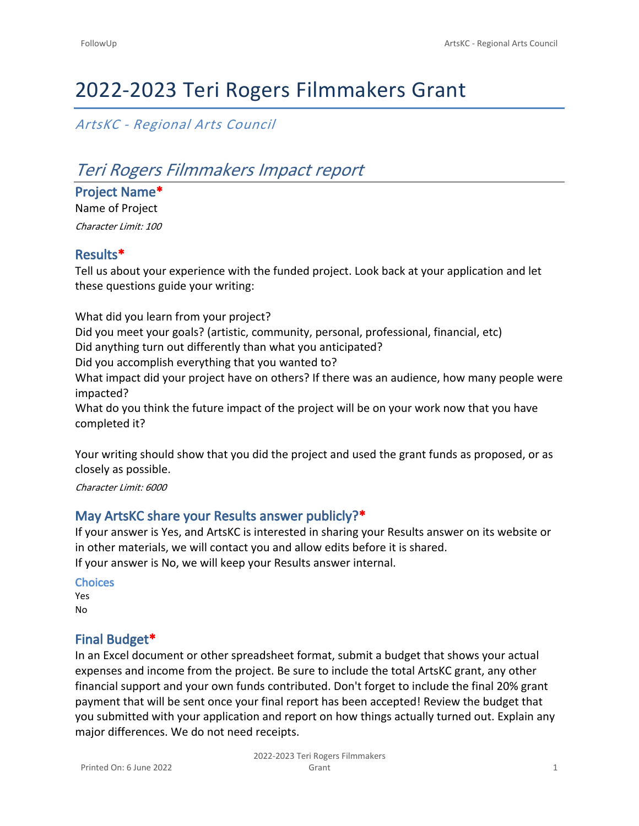# 2022-2023 Teri Rogers Filmmakers Grant

## *ArtsKC - Regional Arts Council*

## *Teri Rogers Filmmakers Impact report*

**Project Name\*** Name of Project

*Character Limit: 100*

#### **Results\***

Tell us about your experience with the funded project. Look back at your application and let these questions guide your writing:

What did you learn from your project? Did you meet your goals? (artistic, community, personal, professional, financial, etc) Did anything turn out differently than what you anticipated? Did you accomplish everything that you wanted to? What impact did your project have on others? If there was an audience, how many people were impacted? What do you think the future impact of the project will be on your work now that you have completed it?

Your writing should show that you did the project and used the grant funds as proposed, or as closely as possible.

*Character Limit: 6000*

#### **May ArtsKC share your Results answer publicly?\***

If your answer is Yes, and ArtsKC is interested in sharing your Results answer on its website or in other materials, we will contact you and allow edits before it is shared. If your answer is No, we will keep your Results answer internal.

**Choices** Yes No

#### **Final Budget\***

In an Excel document or other spreadsheet format, submit a budget that shows your actual expenses and income from the project. Be sure to include the total ArtsKC grant, any other financial support and your own funds contributed. Don't forget to include the final 20% grant payment that will be sent once your final report has been accepted! Review the budget that you submitted with your application and report on how things actually turned out. Explain any major differences. We do not need receipts.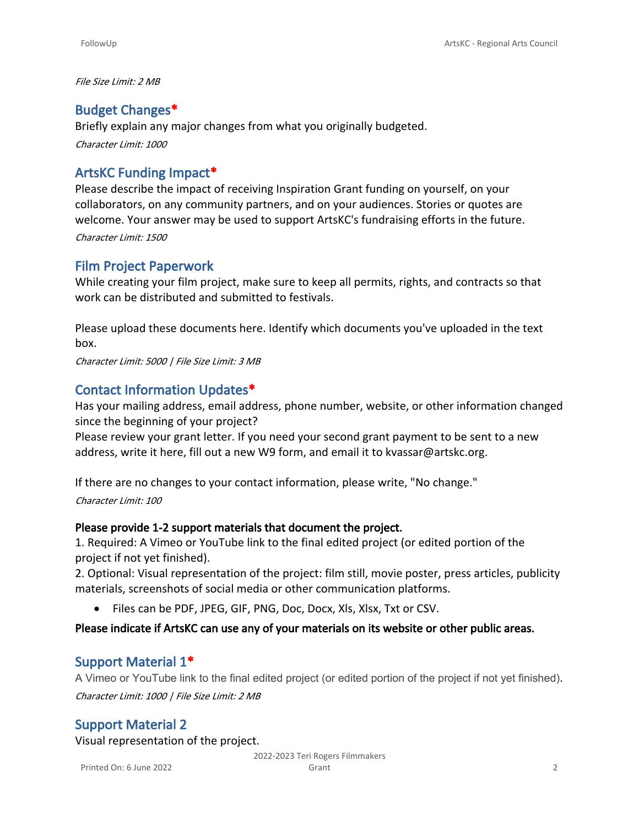*File Size Limit: 2 MB*

## **Budget Changes\***

Briefly explain any major changes from what you originally budgeted. *Character Limit: 1000*

## **ArtsKC Funding Impact\***

Please describe the impact of receiving Inspiration Grant funding on yourself, on your collaborators, on any community partners, and on your audiences. Stories or quotes are welcome. Your answer may be used to support ArtsKC's fundraising efforts in the future. *Character Limit: 1500*

## **Film Project Paperwork**

While creating your film project, make sure to keep all permits, rights, and contracts so that work can be distributed and submitted to festivals.

Please upload these documents here. Identify which documents you've uploaded in the text box.

*Character Limit: 5000 | File Size Limit: 3 MB*

## **Contact Information Updates\***

Has your mailing address, email address, phone number, website, or other information changed since the beginning of your project?

Please review your grant letter. If you need your second grant payment to be sent to a new address, write it here, fill out a new W9 form, and email it to kvassar@artskc.org.

If there are no changes to your contact information, please write, "No change." *Character Limit: 100*

#### **Please provide 1-2 support materials that document the project.**

1. Required: A Vimeo or YouTube link to the final edited project (or edited portion of the project if not yet finished).

2. Optional: Visual representation of the project: film still, movie poster, press articles, publicity materials, screenshots of social media or other communication platforms.

• Files can be PDF, JPEG, GIF, PNG, Doc, Docx, Xls, Xlsx,Txt or CSV.

#### **Please indicate if ArtsKC can use any of your materials on its website or other public areas.**

### **Support Material 1\***

A Vimeo or YouTube link to the final edited project (or edited portion of the project if not yet finished). *Character Limit: 1000 | File Size Limit: 2 MB*

## **Support Material 2**

Visual representation of the project.